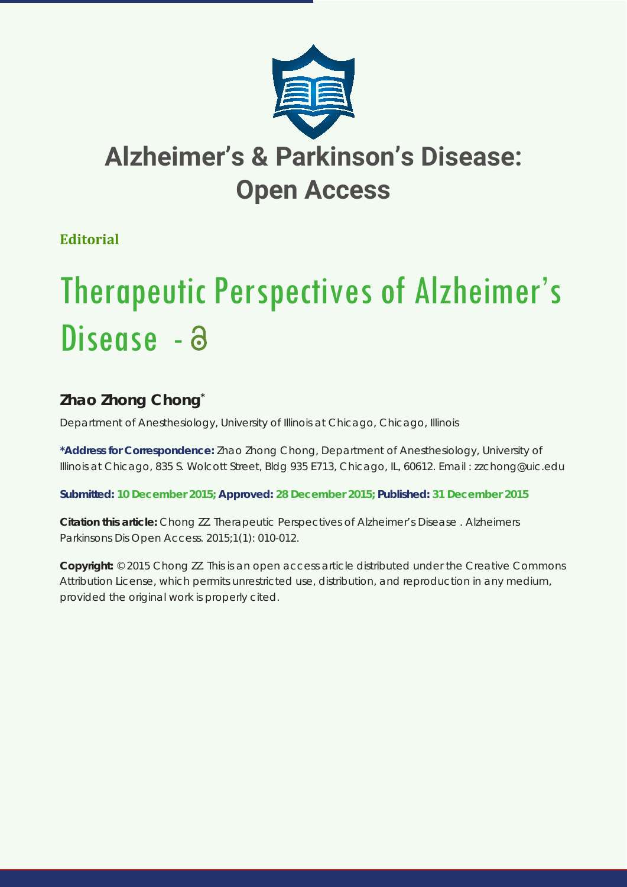

**Editorial**

# Therapeutic Perspectives of Alzheimer's Disease - a

## **Zhao Zhong Chong\***

*Department of Anesthesiology, University of Illinois at Chicago, Chicago, Illinois* 

**\*Address for Correspondence:** Zhao Zhong Chong, Department of Anesthesiology, University of Illinois at Chicago, 835 S. Wolcott Street, Bldg 935 E713, Chicago, IL, 60612. Email : zzchong@uic.edu

**Submitted: 10 December 2015; Approved: 28 December 2015; Published: 31 December 2015**

**Citation this article:** Chong ZZ. Therapeutic Perspectives of Alzheimer's Disease . Alzheimers Parkinsons Dis Open Access. 2015;1(1): 010-012.

**Copyright:** © 2015 Chong ZZ. This is an open access article distributed under the Creative Commons Attribution License, which permits unrestricted use, distribution, and reproduction in any medium, provided the original work is properly cited.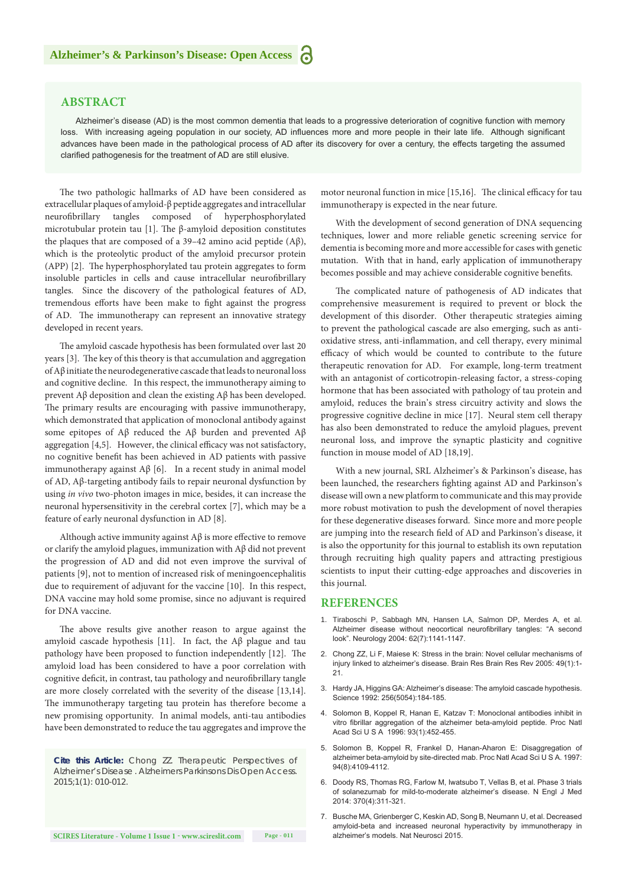### **ABSTRACT**

Alzheimer's disease (AD) is the most common dementia that leads to a progressive deterioration of cognitive function with memory loss. With increasing ageing population in our society, AD influences more and more people in their late life. Although significant advances have been made in the pathological process of AD after its discovery for over a century, the effects targeting the assumed clarified pathogenesis for the treatment of AD are still elusive.

The two pathologic hallmarks of AD have been considered as extracellular plaques of amyloid-β peptide aggregates and intracellular neurofibrillary tangles composed of hyperphosphorylated microtubular protein tau [1]. The β-amyloid deposition constitutes the plaques that are composed of a 39–42 amino acid peptide  $(Aβ)$ , which is the proteolytic product of the amyloid precursor protein (APP) [2]. The hyperphosphorylated tau protein aggregates to form insoluble particles in cells and cause intracellular neurofibrillary tangles. Since the discovery of the pathological features of AD, tremendous efforts have been make to fight against the progress of AD. The immunotherapy can represent an innovative strategy developed in recent years.

The amyloid cascade hypothesis has been formulated over last 20 years [3]. The key of this theory is that accumulation and aggregation of Aβ initiate the neurodegenerative cascade that leads to neuronal loss and cognitive decline. In this respect, the immunotherapy aiming to prevent Aβ deposition and clean the existing Aβ has been developed. The primary results are encouraging with passive immunotherapy, which demonstrated that application of monoclonal antibody against some epitopes of Aβ reduced the Aβ burden and prevented Aβ aggregation [4,5]. However, the clinical efficacy was not satisfactory, no cognitive benefit has been achieved in AD patients with passive immunotherapy against  $\text{A}\beta$  [6]. In a recent study in animal model of AD, Aβ-targeting antibody fails to repair neuronal dysfunction by using *in vivo* two-photon images in mice, besides, it can increase the neuronal hypersensitivity in the cerebral cortex [7], which may be a feature of early neuronal dysfunction in AD [8].

Although active immunity against  $A\beta$  is more effective to remove or clarify the amyloid plagues, immunization with Aβ did not prevent the progression of AD and did not even improve the survival of patients [9], not to mention of increased risk of meningoencephalitis due to requirement of adjuvant for the vaccine [10]. In this respect, DNA vaccine may hold some promise, since no adjuvant is required for DNA vaccine.

The above results give another reason to argue against the amyloid cascade hypothesis [11]. In fact, the Aβ plague and tau pathology have been proposed to function independently [12]. The amyloid load has been considered to have a poor correlation with cognitive deficit, in contrast, tau pathology and neurofibrillary tangle are more closely correlated with the severity of the disease [13,14]. The immunotherapy targeting tau protein has therefore become a new promising opportunity. In animal models, anti-tau antibodies have been demonstrated to reduce the tau aggregates and improve the

*Cite this Article: Chong ZZ. Therapeutic Perspectives of Alzheimer's Disease . Alzheimers Parkinsons Dis Open Access. 2015;1(1): 010-012.*

motor neuronal function in mice [15,16]. The clinical efficacy for tau immunotherapy is expected in the near future.

With the development of second generation of DNA sequencing techniques, lower and more reliable genetic screening service for dementia is becoming more and more accessible for cases with genetic mutation. With that in hand, early application of immunotherapy becomes possible and may achieve considerable cognitive benefits.

The complicated nature of pathogenesis of AD indicates that comprehensive measurement is required to prevent or block the development of this disorder. Other therapeutic strategies aiming to prevent the pathological cascade are also emerging, such as antioxidative stress, anti-inflammation, and cell therapy, every minimal efficacy of which would be counted to contribute to the future therapeutic renovation for AD. For example, long-term treatment with an antagonist of corticotropin-releasing factor, a stress-coping hormone that has been associated with pathology of tau protein and amyloid, reduces the brain's stress circuitry activity and slows the progressive cognitive decline in mice [17]. Neural stem cell therapy has also been demonstrated to reduce the amyloid plagues, prevent neuronal loss, and improve the synaptic plasticity and cognitive function in mouse model of AD [18,19].

With a new journal, SRL Alzheimer's & Parkinson's disease, has been launched, the researchers fighting against AD and Parkinson's disease will own a new platform to communicate and this may provide more robust motivation to push the development of novel therapies for these degenerative diseases forward. Since more and more people are jumping into the research field of AD and Parkinson's disease, it is also the opportunity for this journal to establish its own reputation through recruiting high quality papers and attracting prestigious scientists to input their cutting-edge approaches and discoveries in this journal.

#### **REFERENCES**

- 1. [Tiraboschi P, Sabbagh MN, Hansen LA, Salmon DP, Merdes A, et al.](http://www.ncbi.nlm.nih.gov/pubmed/15079014)  [Alzheimer disease without neocortical neurofibrillary tangles: "A second](http://www.ncbi.nlm.nih.gov/pubmed/15079014)  [look". Neurology 2004: 62\(7\):1141-1147.](http://www.ncbi.nlm.nih.gov/pubmed/15079014)
- 2. [Chong ZZ, Li F, Maiese K: Stress in the brain: Novel cellular mechanisms of](http://www.ncbi.nlm.nih.gov/pubmed/15960984)  [injury linked to alzheimer's disease. Brain Res Brain Res Rev 2005: 49\(1\):1-](http://www.ncbi.nlm.nih.gov/pubmed/15960984) [21.](http://www.ncbi.nlm.nih.gov/pubmed/15960984)
- 3. [Hardy JA, Higgins GA: Alzheimer's disease: The amyloid cascade hypothesis.](http://search.proquest.com/openview/e965729ff54db4d8a61fdb184525be25/1?pq-origsite=gscholar)  [Science 1992: 256\(5054\):184-185.](http://search.proquest.com/openview/e965729ff54db4d8a61fdb184525be25/1?pq-origsite=gscholar)
- 4. [Solomon B, Koppel R, Hanan E, Katzav T: Monoclonal antibodies inhibit in](http://www.ncbi.nlm.nih.gov/pubmed/8552659)  [vitro fibrillar aggregation of the alzheimer beta-amyloid peptide. Proc Natl](http://www.ncbi.nlm.nih.gov/pubmed/8552659)  [Acad Sci U S A 1996: 93\(1\):452-455.](http://www.ncbi.nlm.nih.gov/pubmed/8552659)
- 5. [Solomon B, Koppel R, Frankel D, Hanan-Aharon E: Disaggregation of](http://www.ncbi.nlm.nih.gov/pubmed/9108113)  [alzheimer beta-amyloid by site-directed mab. Proc Natl Acad Sci U S A. 1997:](http://www.ncbi.nlm.nih.gov/pubmed/9108113)  [94\(8\):4109-4112.](http://www.ncbi.nlm.nih.gov/pubmed/9108113)
- 6. [Doody RS, Thomas RG, Farlow M, Iwatsubo T, Vellas B, et al. Phase 3 trials](http://www.nejm.org/doi/full/10.1056/NEJMoa1312889)  [of solanezumab for mild-to-moderate alzheimer's disease. N Engl J Med](http://www.nejm.org/doi/full/10.1056/NEJMoa1312889)  [2014: 370\(4\):311-321.](http://www.nejm.org/doi/full/10.1056/NEJMoa1312889)
- 7. [Busche MA, Grienberger C, Keskin AD, Song B, Neumann U, et al. Decreased](http://www.ncbi.nlm.nih.gov/pubmed/26551546)  [amyloid-beta and increased neuronal hyperactivity by immunotherapy in](http://www.ncbi.nlm.nih.gov/pubmed/26551546)  [alzheimer's models. Nat Neurosci 2015.](http://www.ncbi.nlm.nih.gov/pubmed/26551546)